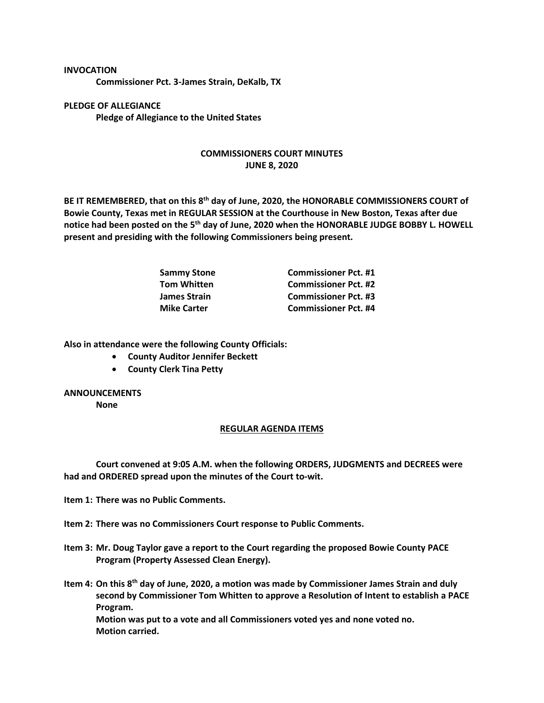## **INVOCATION**

**Commissioner Pct. 3-James Strain, DeKalb, TX**

**PLEDGE OF ALLEGIANCE Pledge of Allegiance to the United States**

## **COMMISSIONERS COURT MINUTES JUNE 8, 2020**

**BE IT REMEMBERED, that on this 8th day of June, 2020, the HONORABLE COMMISSIONERS COURT of Bowie County, Texas met in REGULAR SESSION at the Courthouse in New Boston, Texas after due notice had been posted on the 5th day of June, 2020 when the HONORABLE JUDGE BOBBY L. HOWELL present and presiding with the following Commissioners being present.**

| <b>Sammy Stone</b> | <b>Commissioner Pct. #1</b> |
|--------------------|-----------------------------|
| <b>Tom Whitten</b> | <b>Commissioner Pct. #2</b> |
| James Strain       | <b>Commissioner Pct. #3</b> |
| <b>Mike Carter</b> | <b>Commissioner Pct. #4</b> |

**Also in attendance were the following County Officials:**

- **County Auditor Jennifer Beckett**
- **County Clerk Tina Petty**

## **ANNOUNCEMENTS**

**None**

## **REGULAR AGENDA ITEMS**

**Court convened at 9:05 A.M. when the following ORDERS, JUDGMENTS and DECREES were had and ORDERED spread upon the minutes of the Court to-wit.**

**Item 1: There was no Public Comments.**

**Item 2: There was no Commissioners Court response to Public Comments.**

**Item 3: Mr. Doug Taylor gave a report to the Court regarding the proposed Bowie County PACE Program (Property Assessed Clean Energy).**

**Item 4: On this 8th day of June, 2020, a motion was made by Commissioner James Strain and duly second by Commissioner Tom Whitten to approve a Resolution of Intent to establish a PACE Program. Motion was put to a vote and all Commissioners voted yes and none voted no. Motion carried.**